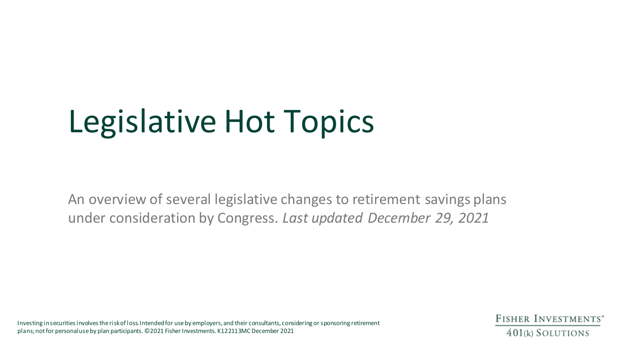# Legislative Hot Topics

An overview of several legislative changes to retirement savings plans under consideration by Congress. *Last updated December 29, 2021*

Investing in securities involves the risk of loss. Intendedfor use by employers, and their consultants, considering or sponsoring retirement plans; not for personal use by plan participants. ©2021 Fisher Investments. K122113MC December 2021

FISHER INVESTMENTS<sup>®</sup> 401(k) SOLUTIONS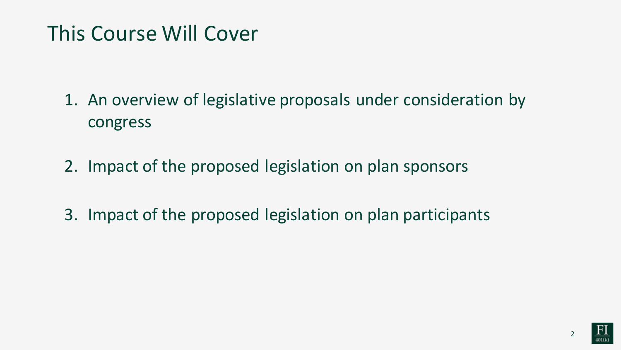#### This Course Will Cover

- 1. An overview of legislative proposals under consideration by congress
- 2. Impact of the proposed legislation on plan sponsors
- 3. Impact of the proposed legislation on plan participants

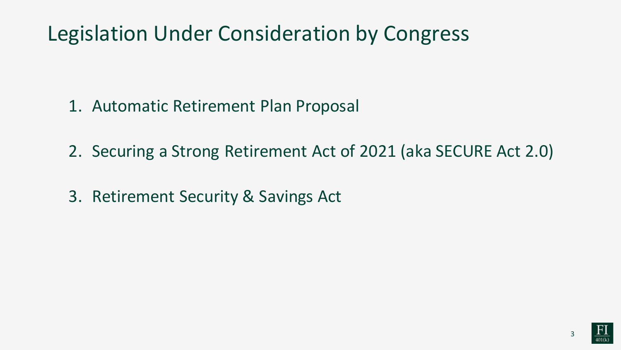#### Legislation Under Consideration by Congress

- 1. Automatic Retirement Plan Proposal
- 2. Securing a Strong Retirement Act of 2021 (aka SECURE Act 2.0)
- 3. Retirement Security & Savings Act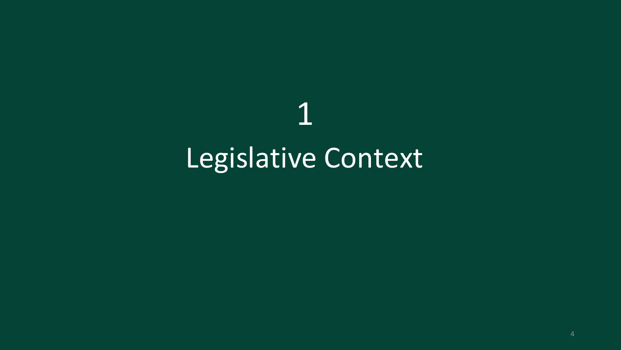## 1 Legislative Context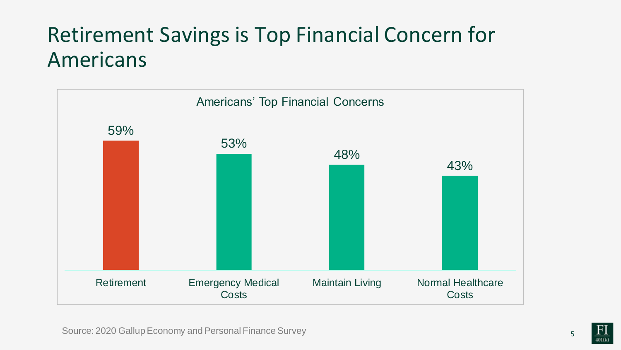#### Retirement Savings is Top Financial Concern for Americans

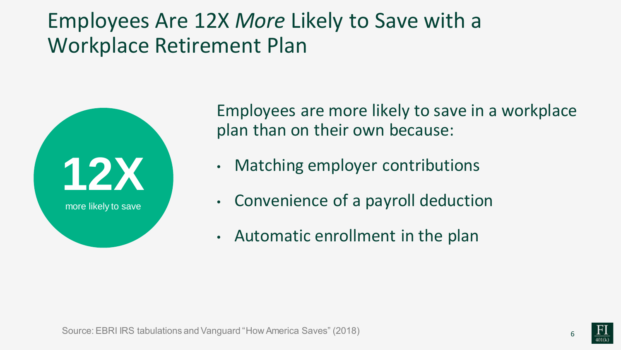#### Employees Are 12X *More* Likely to Save with a Workplace Retirement Plan



Employees are more likely to save in a workplace plan than on their own because:

- Matching employer contributions
- Convenience of a payroll deduction
- Automatic enrollment in the plan

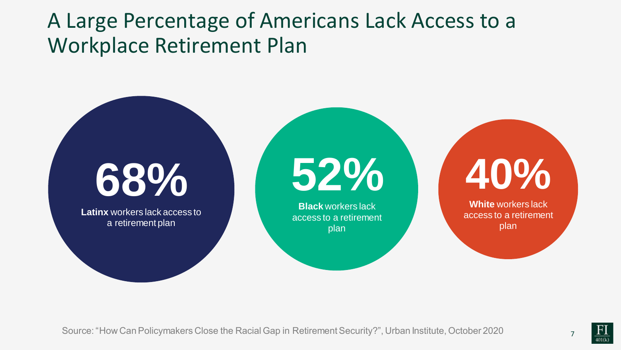#### A Large Percentage of Americans Lack Access to a Workplace Retirement Plan

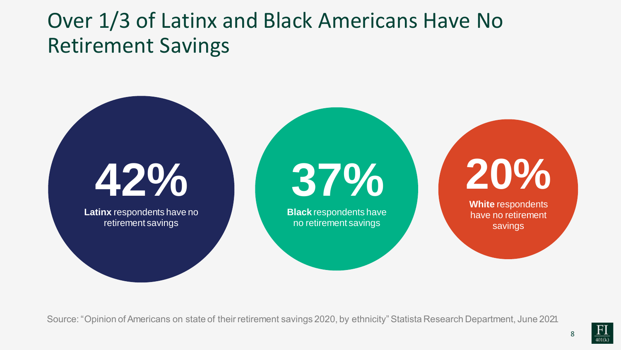#### Over 1/3 of Latinx and Black Americans Have No Retirement Savings

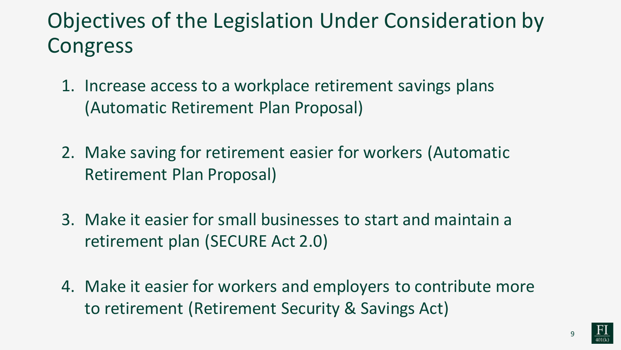#### Objectives of the Legislation Under Consideration by Congress

- 1. Increase access to a workplace retirement savings plans (Automatic Retirement Plan Proposal)
- 2. Make saving for retirement easier for workers (Automatic Retirement Plan Proposal)
- 3. Make it easier for small businesses to start and maintain a retirement plan (SECURE Act 2.0)
- 4. Make it easier for workers and employers to contribute more to retirement (Retirement Security & Savings Act)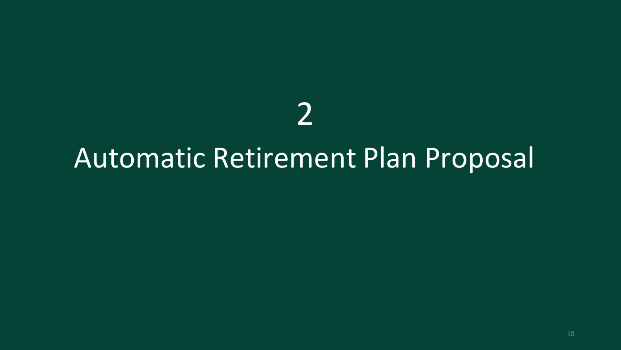## 

### Automatic Retirement Plan Proposal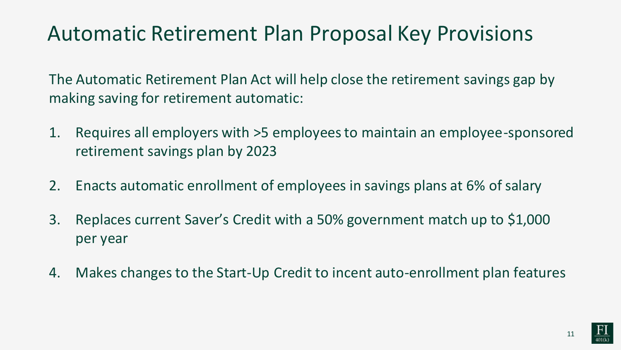#### Automatic Retirement Plan Proposal Key Provisions

The Automatic Retirement Plan Act will help close the retirement savings gap by making saving for retirement automatic:

- 1. Requires all employers with >5 employees to maintain an employee-sponsored retirement savings plan by 2023
- 2. Enacts automatic enrollment of employees in savings plans at 6% of salary
- 3. Replaces current Saver's Credit with a 50% government match up to \$1,000 per year
- 4. Makes changes to the Start-Up Credit to incent auto-enrollment plan features

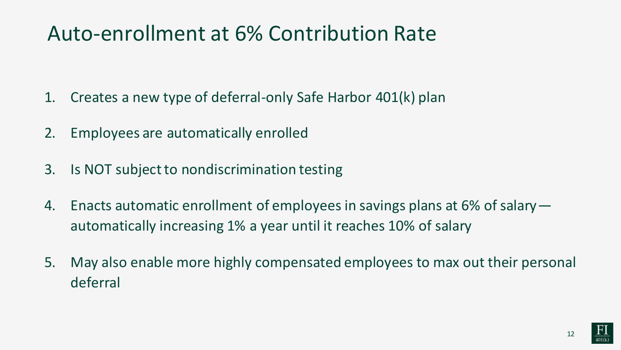#### Auto-enrollment at 6% Contribution Rate

- 1. Creates a new type of deferral-only Safe Harbor 401(k) plan
- 2. Employees are automatically enrolled
- 3. Is NOT subject to nondiscrimination testing
- 4. Enacts automatic enrollment of employees in savings plans at 6% of salary automatically increasing 1% a year until it reaches 10% of salary
- 5. May also enable more highly compensated employees to max out their personal deferral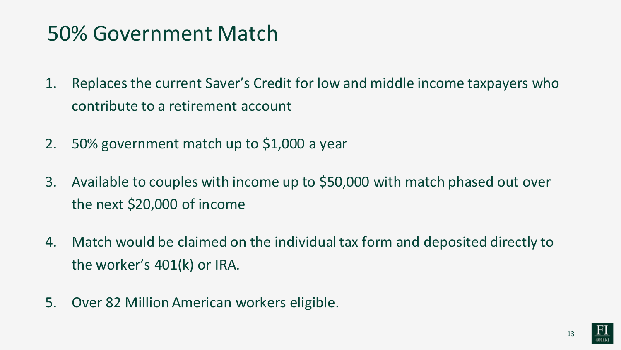#### 50% Government Match

- 1. Replaces the current Saver's Credit for low and middle income taxpayers who contribute to a retirement account
- 2. 50% government match up to \$1,000 a year
- 3. Available to couples with income up to \$50,000 with match phased out over the next \$20,000 of income
- 4. Match would be claimed on the individual tax form and deposited directly to the worker's 401(k) or IRA.
- 5. Over 82 Million American workers eligible.

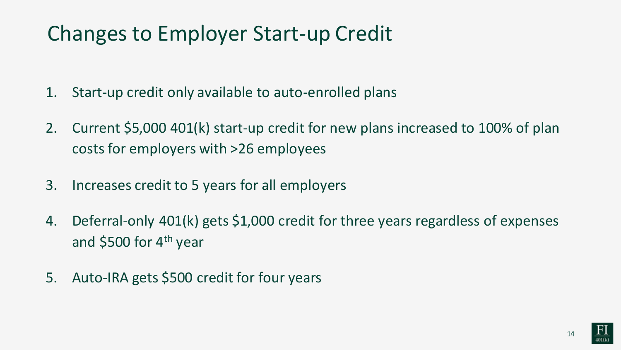#### Changes to Employer Start-up Credit

- 1. Start-up credit only available to auto-enrolled plans
- 2. Current \$5,000 401(k) start-up credit for new plans increased to 100% of plan costs for employers with >26 employees
- 3. Increases credit to 5 years for all employers
- 4. Deferral-only 401(k) gets \$1,000 credit for three years regardless of expenses and  $$500$  for 4<sup>th</sup> year
- 5. Auto-IRA gets \$500 credit for four years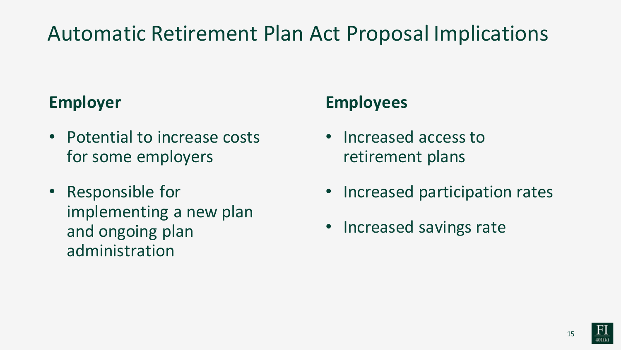#### Automatic Retirement Plan Act Proposal Implications

#### **Employer**

- Potential to increase costs for some employers
- Responsible for implementing a new plan and ongoing plan administration

#### **Employees**

- Increased access to retirement plans
- Increased participation rates
- Increased savings rate

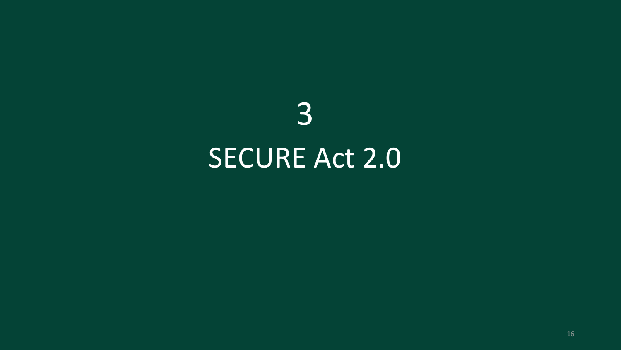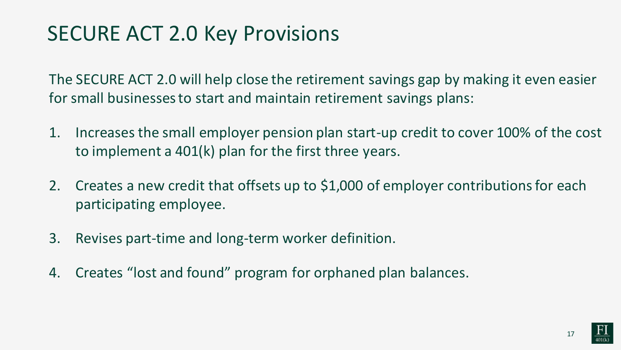#### SECURE ACT 2.0 Key Provisions

The SECURE ACT 2.0 will help close the retirement savings gap by making it even easier for small businesses to start and maintain retirement savings plans:

- 1. Increases the small employer pension plan start-up credit to cover 100% of the cost to implement a 401(k) plan for the first three years.
- 2. Creates a new credit that offsets up to \$1,000 of employer contributions for each participating employee.
- 3. Revises part-time and long-term worker definition.
- 4. Creates "lost and found" program for orphaned plan balances.

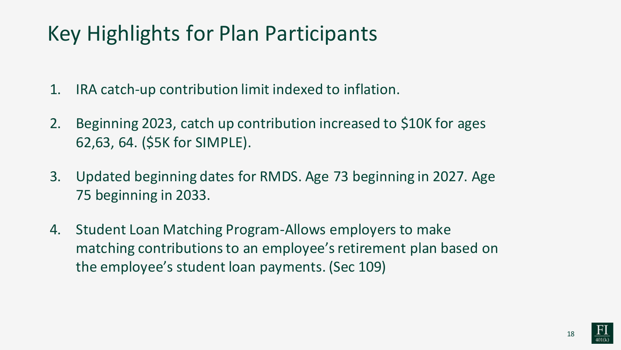#### Key Highlights for Plan Participants

- 1. IRA catch-up contribution limit indexed to inflation.
- 2. Beginning 2023, catch up contribution increased to \$10K for ages 62,63, 64. (\$5K for SIMPLE).
- 3. Updated beginning dates for RMDS. Age 73 beginning in 2027. Age 75 beginning in 2033.
- 4. Student Loan Matching Program-Allows employers to make matching contributions to an employee's retirement plan based on the employee's student loan payments. (Sec 109)

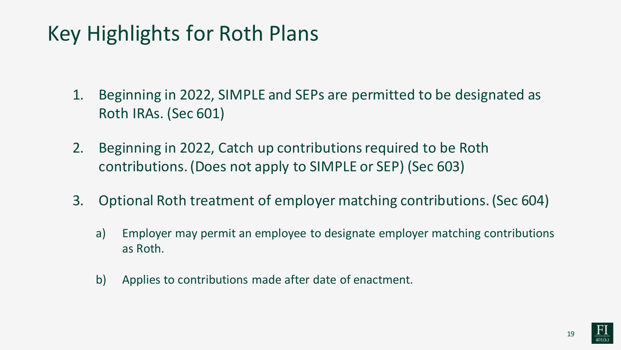#### Key Highlights for Roth Plans

- 1. Beginning in 2022, SIMPLE and SEPs are permitted to be designated as Roth IRAs. (Sec 601)
- 2. Beginning in 2022, Catch up contributions required to be Roth contributions. (Does not apply to SIMPLE or SEP) (Sec 603)
- 3. Optional Roth treatment of employer matching contributions. (Sec 604)
	- a) Employer may permit an employee to designate employer matching contributions as Roth.
	- b) Applies to contributions made after date of enactment.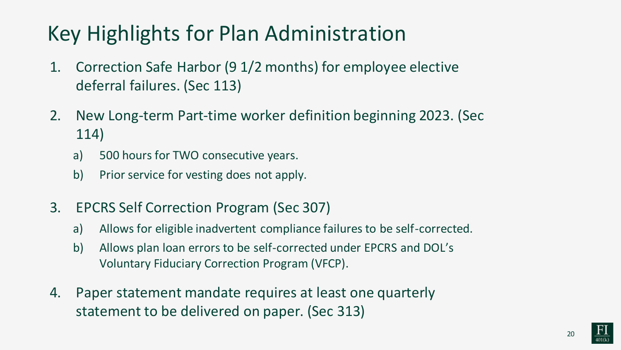#### Key Highlights for Plan Administration

- 1. Correction Safe Harbor (9 1/2 months) for employee elective deferral failures. (Sec 113)
- 2. New Long-term Part-time worker definition beginning 2023. (Sec 114)
	- a) 500 hours for TWO consecutive years.
	- b) Prior service for vesting does not apply.
- 3. EPCRS Self Correction Program (Sec 307)
	- a) Allows for eligible inadvertent compliance failures to be self-corrected.
	- b) Allows plan loan errors to be self-corrected under EPCRS and DOL's Voluntary Fiduciary Correction Program (VFCP).
- 4. Paper statement mandate requires at least one quarterly statement to be delivered on paper. (Sec 313)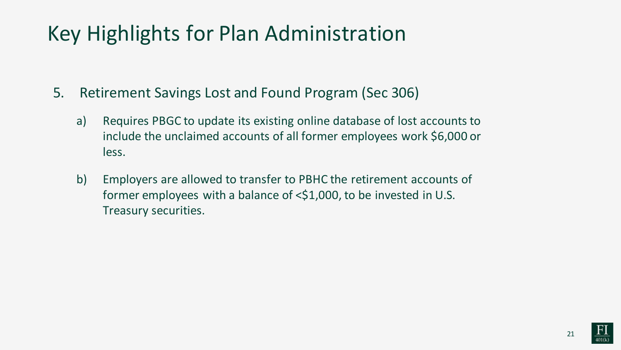#### Key Highlights for Plan Administration

- 5. Retirement Savings Lost and Found Program (Sec 306)
	- a) Requires PBGC to update its existing online database of lost accounts to include the unclaimed accounts of all former employees work \$6,000 or less.
	- b) Employers are allowed to transfer to PBHC the retirement accounts of former employees with a balance of <\$1,000, to be invested in U.S. Treasury securities.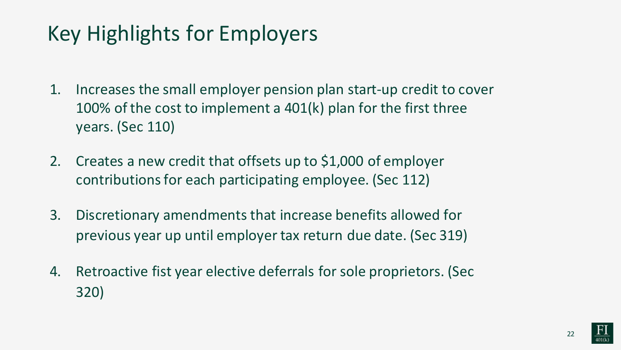#### Key Highlights for Employers

- 1. Increases the small employer pension plan start-up credit to cover 100% of the cost to implement a 401(k) plan for the first three years. (Sec 110)
- 2. Creates a new credit that offsets up to \$1,000 of employer contributions for each participating employee. (Sec 112)
- 3. Discretionary amendments that increase benefits allowed for previous year up until employer tax return due date. (Sec 319)
- 4. Retroactive fist year elective deferrals for sole proprietors. (Sec 320)

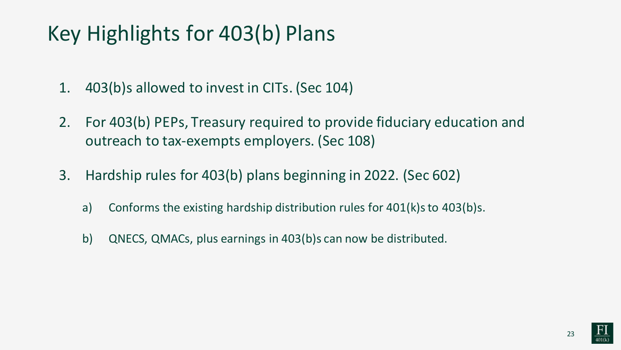#### Key Highlights for 403(b) Plans

- 1. 403(b)s allowed to invest in CITs. (Sec 104)
- 2. For 403(b) PEPs, Treasury required to provide fiduciary education and outreach to tax-exempts employers. (Sec 108)
- 3. Hardship rules for 403(b) plans beginning in 2022. (Sec 602)
	- a) Conforms the existing hardship distribution rules for 401(k)s to 403(b)s.
	- b) QNECS, QMACs, plus earnings in 403(b)s can now be distributed.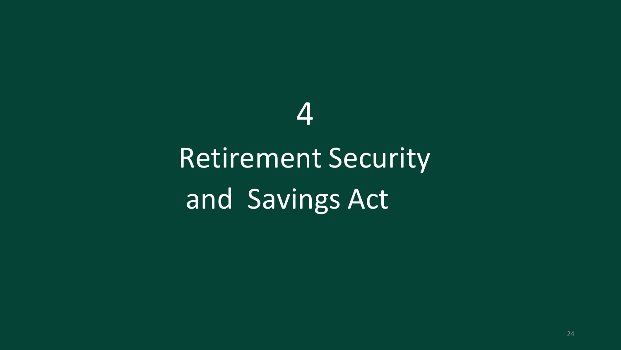# Retirement Security and Savings Act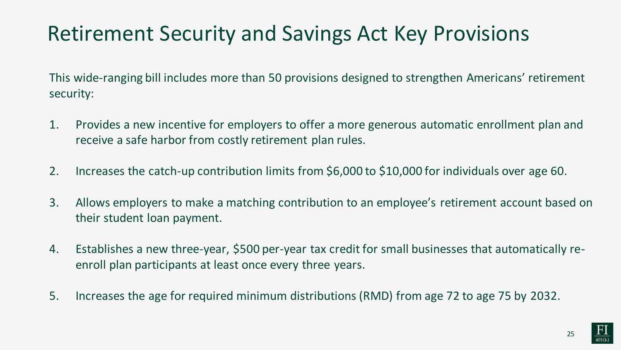#### Retirement Security and Savings Act Key Provisions

This wide-ranging bill includes more than 50 provisions designed to strengthen Americans' retirement security:

- 1. Provides a new incentive for employers to offer a more generous automatic enrollment plan and receive a safe harbor from costly retirement plan rules.
- 2. Increases the catch-up contribution limits from \$6,000 to \$10,000 for individuals over age 60.
- 3. Allows employers to make a matching contribution to an employee's retirement account based on their student loan payment.
- 4. Establishes a new three-year, \$500 per-year tax credit for small businesses that automatically reenroll plan participants at least once every three years.
- 5. Increases the age for required minimum distributions (RMD) from age 72 to age 75 by 2032.